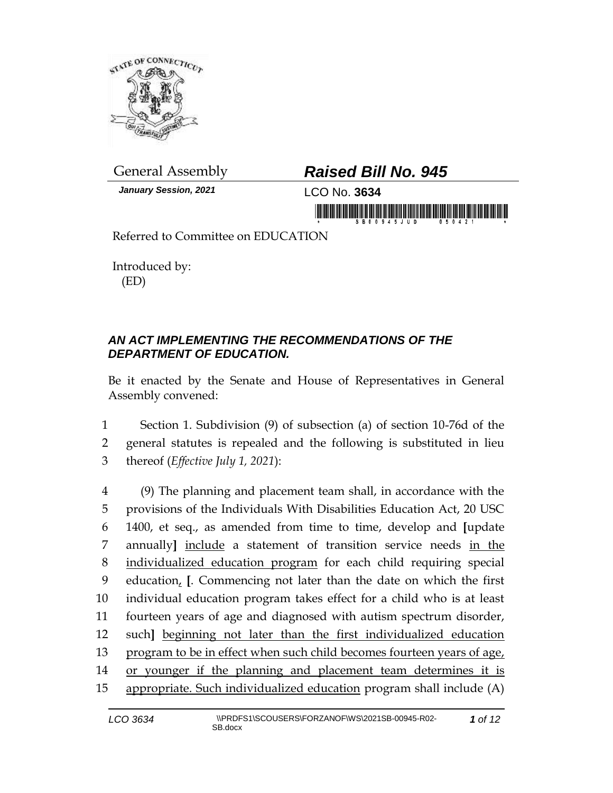

*January Session, 2021* LCO No. **3634**

## General Assembly *Raised Bill No. 945*

in mondification in the state of the state of the state of the state of the state of the state of the state of

Referred to Committee on EDUCATION

Introduced by: (ED)

## *AN ACT IMPLEMENTING THE RECOMMENDATIONS OF THE DEPARTMENT OF EDUCATION.*

Be it enacted by the Senate and House of Representatives in General Assembly convened:

1 Section 1. Subdivision (9) of subsection (a) of section 10-76d of the 2 general statutes is repealed and the following is substituted in lieu 3 thereof (*Effective July 1, 2021*):

 (9) The planning and placement team shall, in accordance with the provisions of the Individuals With Disabilities Education Act, 20 USC 1400, et seq., as amended from time to time, develop and **[**update annually**]** include a statement of transition service needs in the individualized education program for each child requiring special education, **[**. Commencing not later than the date on which the first individual education program takes effect for a child who is at least fourteen years of age and diagnosed with autism spectrum disorder, such**]** beginning not later than the first individualized education program to be in effect when such child becomes fourteen years of age, 14 or younger if the planning and placement team determines it is appropriate. Such individualized education program shall include (A)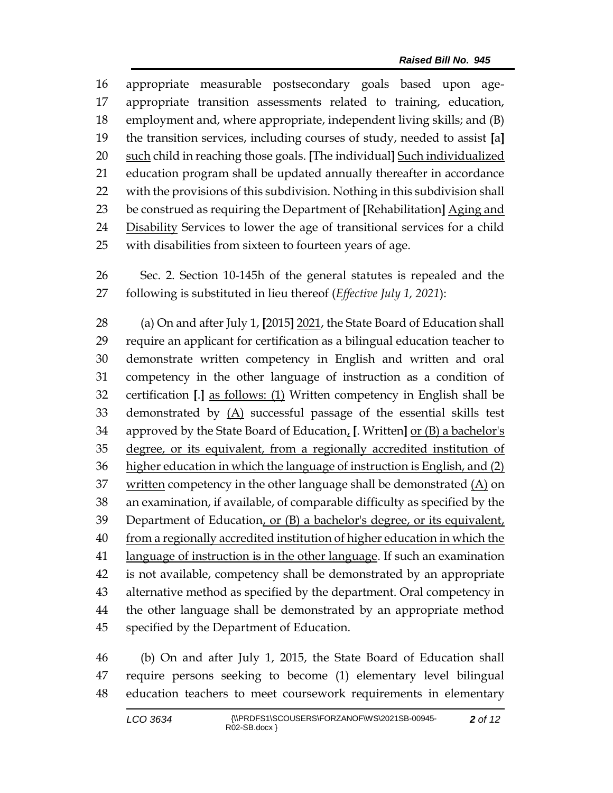appropriate measurable postsecondary goals based upon age- appropriate transition assessments related to training, education, employment and, where appropriate, independent living skills; and (B) the transition services, including courses of study, needed to assist **[**a**]** such child in reaching those goals. **[**The individual**]** Such individualized education program shall be updated annually thereafter in accordance with the provisions of this subdivision. Nothing in this subdivision shall be construed as requiring the Department of **[**Rehabilitation**]** Aging and Disability Services to lower the age of transitional services for a child with disabilities from sixteen to fourteen years of age.

 Sec. 2. Section 10-145h of the general statutes is repealed and the following is substituted in lieu thereof (*Effective July 1, 2021*):

 (a) On and after July 1, **[**2015**]** 2021, the State Board of Education shall require an applicant for certification as a bilingual education teacher to demonstrate written competency in English and written and oral competency in the other language of instruction as a condition of certification **[**.**]** as follows: (1) Written competency in English shall be demonstrated by (A) successful passage of the essential skills test approved by the State Board of Education, **[**. Written**]** or (B) a bachelor's degree, or its equivalent, from a regionally accredited institution of higher education in which the language of instruction is English, and (2) written competency in the other language shall be demonstrated (A) on an examination, if available, of comparable difficulty as specified by the Department of Education, or (B) a bachelor's degree, or its equivalent, 40 from a regionally accredited institution of higher education in which the language of instruction is in the other language. If such an examination is not available, competency shall be demonstrated by an appropriate alternative method as specified by the department. Oral competency in the other language shall be demonstrated by an appropriate method specified by the Department of Education.

 (b) On and after July 1, 2015, the State Board of Education shall require persons seeking to become (1) elementary level bilingual education teachers to meet coursework requirements in elementary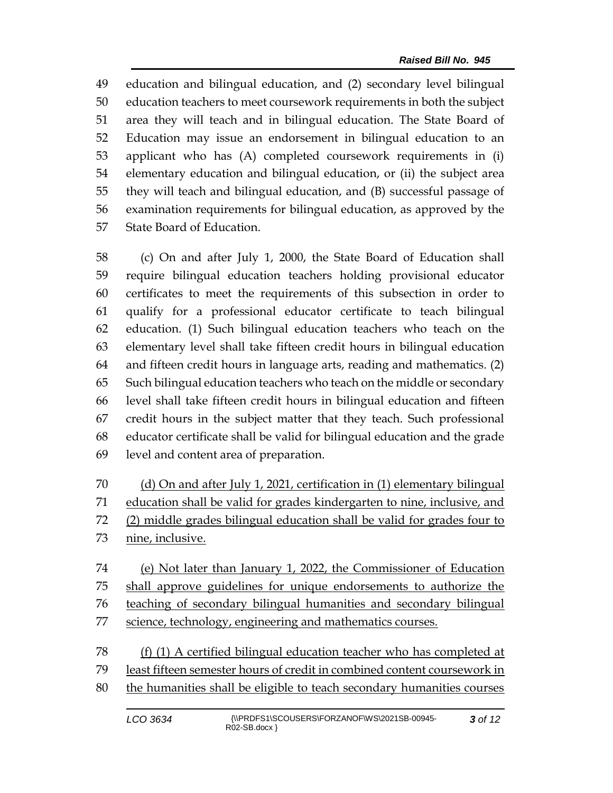education and bilingual education, and (2) secondary level bilingual education teachers to meet coursework requirements in both the subject area they will teach and in bilingual education. The State Board of Education may issue an endorsement in bilingual education to an applicant who has (A) completed coursework requirements in (i) elementary education and bilingual education, or (ii) the subject area they will teach and bilingual education, and (B) successful passage of examination requirements for bilingual education, as approved by the State Board of Education.

 (c) On and after July 1, 2000, the State Board of Education shall require bilingual education teachers holding provisional educator certificates to meet the requirements of this subsection in order to qualify for a professional educator certificate to teach bilingual education. (1) Such bilingual education teachers who teach on the elementary level shall take fifteen credit hours in bilingual education and fifteen credit hours in language arts, reading and mathematics. (2) Such bilingual education teachers who teach on the middle or secondary level shall take fifteen credit hours in bilingual education and fifteen credit hours in the subject matter that they teach. Such professional educator certificate shall be valid for bilingual education and the grade level and content area of preparation.

 (d) On and after July 1, 2021, certification in (1) elementary bilingual education shall be valid for grades kindergarten to nine, inclusive, and (2) middle grades bilingual education shall be valid for grades four to nine, inclusive.

 (e) Not later than January 1, 2022, the Commissioner of Education shall approve guidelines for unique endorsements to authorize the teaching of secondary bilingual humanities and secondary bilingual 77 science, technology, engineering and mathematics courses.

 (f) (1) A certified bilingual education teacher who has completed at least fifteen semester hours of credit in combined content coursework in the humanities shall be eligible to teach secondary humanities courses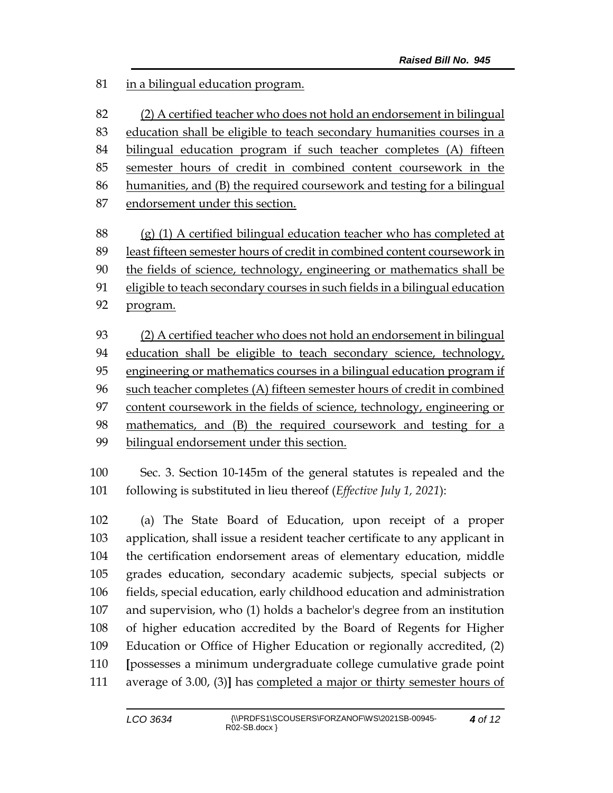in a bilingual education program.

 (2) A certified teacher who does not hold an endorsement in bilingual education shall be eligible to teach secondary humanities courses in a bilingual education program if such teacher completes (A) fifteen semester hours of credit in combined content coursework in the humanities, and (B) the required coursework and testing for a bilingual endorsement under this section.

 (g) (1) A certified bilingual education teacher who has completed at least fifteen semester hours of credit in combined content coursework in the fields of science, technology, engineering or mathematics shall be eligible to teach secondary courses in such fields in a bilingual education program.

 (2) A certified teacher who does not hold an endorsement in bilingual education shall be eligible to teach secondary science, technology, engineering or mathematics courses in a bilingual education program if such teacher completes (A) fifteen semester hours of credit in combined content coursework in the fields of science, technology, engineering or mathematics, and (B) the required coursework and testing for a bilingual endorsement under this section.

 Sec. 3. Section 10-145m of the general statutes is repealed and the following is substituted in lieu thereof (*Effective July 1, 2021*):

 (a) The State Board of Education, upon receipt of a proper application, shall issue a resident teacher certificate to any applicant in the certification endorsement areas of elementary education, middle grades education, secondary academic subjects, special subjects or fields, special education, early childhood education and administration and supervision, who (1) holds a bachelor's degree from an institution of higher education accredited by the Board of Regents for Higher Education or Office of Higher Education or regionally accredited, (2) **[**possesses a minimum undergraduate college cumulative grade point average of 3.00, (3)**]** has completed a major or thirty semester hours of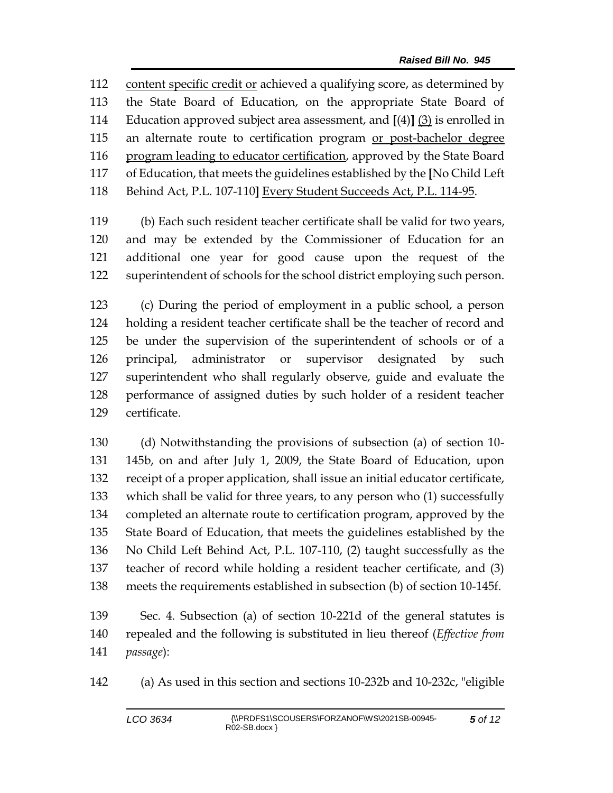content specific credit or achieved a qualifying score, as determined by the State Board of Education, on the appropriate State Board of Education approved subject area assessment, and **[**(4)**]** (3) is enrolled in 115 an alternate route to certification program or post-bachelor degree 116 program leading to educator certification, approved by the State Board of Education, that meets the guidelines established by the **[**No Child Left Behind Act, P.L. 107-110**]** Every Student Succeeds Act, P.L. 114-95.

 (b) Each such resident teacher certificate shall be valid for two years, and may be extended by the Commissioner of Education for an additional one year for good cause upon the request of the superintendent of schools for the school district employing such person.

 (c) During the period of employment in a public school, a person holding a resident teacher certificate shall be the teacher of record and be under the supervision of the superintendent of schools or of a principal, administrator or supervisor designated by such superintendent who shall regularly observe, guide and evaluate the performance of assigned duties by such holder of a resident teacher certificate.

 (d) Notwithstanding the provisions of subsection (a) of section 10- 145b, on and after July 1, 2009, the State Board of Education, upon receipt of a proper application, shall issue an initial educator certificate, which shall be valid for three years, to any person who (1) successfully completed an alternate route to certification program, approved by the State Board of Education, that meets the guidelines established by the No Child Left Behind Act, P.L. 107-110, (2) taught successfully as the teacher of record while holding a resident teacher certificate, and (3) meets the requirements established in subsection (b) of section 10-145f.

 Sec. 4. Subsection (a) of section 10-221d of the general statutes is repealed and the following is substituted in lieu thereof (*Effective from passage*):

(a) As used in this section and sections 10-232b and 10-232c, "eligible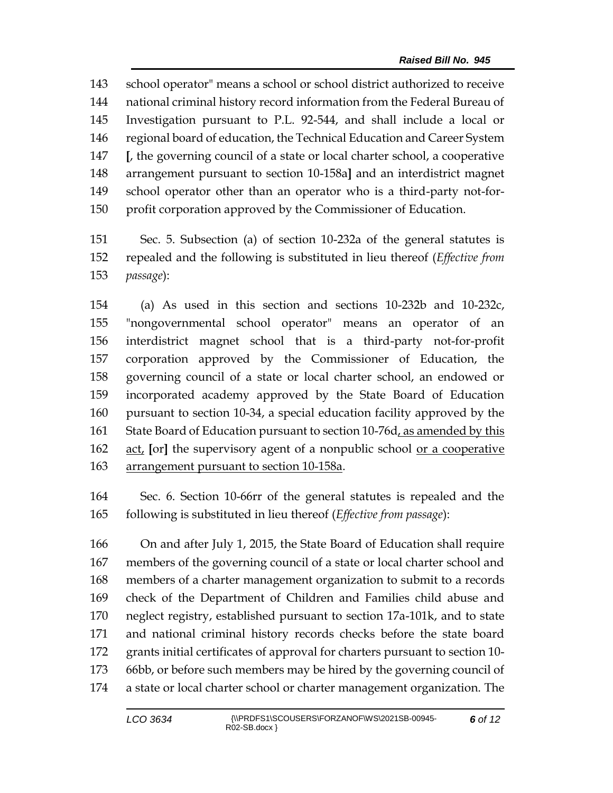school operator" means a school or school district authorized to receive national criminal history record information from the Federal Bureau of Investigation pursuant to P.L. 92-544, and shall include a local or regional board of education, the Technical Education and Career System **[**, the governing council of a state or local charter school, a cooperative arrangement pursuant to section 10-158a**]** and an interdistrict magnet school operator other than an operator who is a third-party not-for-profit corporation approved by the Commissioner of Education.

 Sec. 5. Subsection (a) of section 10-232a of the general statutes is repealed and the following is substituted in lieu thereof (*Effective from passage*):

 (a) As used in this section and sections 10-232b and 10-232c, "nongovernmental school operator" means an operator of an interdistrict magnet school that is a third-party not-for-profit corporation approved by the Commissioner of Education, the governing council of a state or local charter school, an endowed or incorporated academy approved by the State Board of Education pursuant to section 10-34, a special education facility approved by the 161 State Board of Education pursuant to section 10-76d<sub>L</sub> as amended by this act, **[**or**]** the supervisory agent of a nonpublic school or a cooperative 163 arrangement pursuant to section 10-158a.

 Sec. 6. Section 10-66rr of the general statutes is repealed and the following is substituted in lieu thereof (*Effective from passage*):

 On and after July 1, 2015, the State Board of Education shall require members of the governing council of a state or local charter school and members of a charter management organization to submit to a records check of the Department of Children and Families child abuse and neglect registry, established pursuant to section 17a-101k, and to state and national criminal history records checks before the state board grants initial certificates of approval for charters pursuant to section 10- 66bb, or before such members may be hired by the governing council of a state or local charter school or charter management organization. The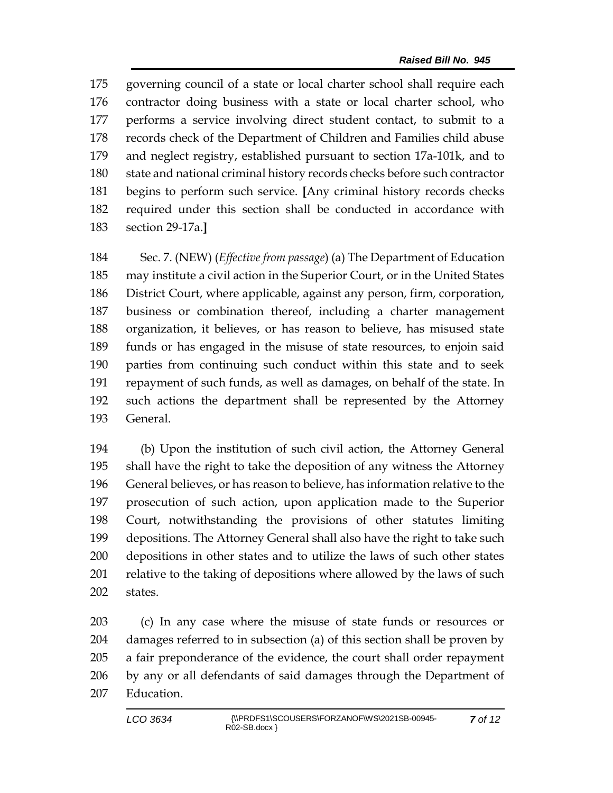governing council of a state or local charter school shall require each contractor doing business with a state or local charter school, who performs a service involving direct student contact, to submit to a records check of the Department of Children and Families child abuse and neglect registry, established pursuant to section 17a-101k, and to state and national criminal history records checks before such contractor begins to perform such service. **[**Any criminal history records checks required under this section shall be conducted in accordance with section 29-17a.**]**

 Sec. 7. (NEW) (*Effective from passage*) (a) The Department of Education may institute a civil action in the Superior Court, or in the United States District Court, where applicable, against any person, firm, corporation, business or combination thereof, including a charter management organization, it believes, or has reason to believe, has misused state funds or has engaged in the misuse of state resources, to enjoin said parties from continuing such conduct within this state and to seek repayment of such funds, as well as damages, on behalf of the state. In such actions the department shall be represented by the Attorney General.

 (b) Upon the institution of such civil action, the Attorney General shall have the right to take the deposition of any witness the Attorney General believes, or has reason to believe, has information relative to the prosecution of such action, upon application made to the Superior Court, notwithstanding the provisions of other statutes limiting depositions. The Attorney General shall also have the right to take such depositions in other states and to utilize the laws of such other states 201 relative to the taking of depositions where allowed by the laws of such states.

 (c) In any case where the misuse of state funds or resources or damages referred to in subsection (a) of this section shall be proven by a fair preponderance of the evidence, the court shall order repayment by any or all defendants of said damages through the Department of Education.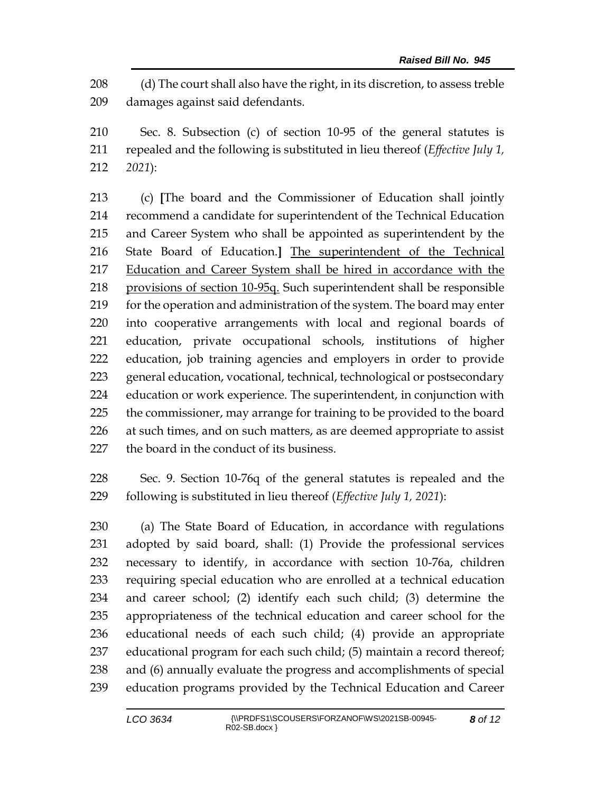(d) The court shall also have the right, in its discretion, to assess treble damages against said defendants.

 Sec. 8. Subsection (c) of section 10-95 of the general statutes is repealed and the following is substituted in lieu thereof (*Effective July 1, 2021*):

 (c) **[**The board and the Commissioner of Education shall jointly recommend a candidate for superintendent of the Technical Education and Career System who shall be appointed as superintendent by the State Board of Education.**]** The superintendent of the Technical Education and Career System shall be hired in accordance with the provisions of section 10-95q. Such superintendent shall be responsible 219 for the operation and administration of the system. The board may enter into cooperative arrangements with local and regional boards of education, private occupational schools, institutions of higher education, job training agencies and employers in order to provide general education, vocational, technical, technological or postsecondary education or work experience. The superintendent, in conjunction with the commissioner, may arrange for training to be provided to the board 226 at such times, and on such matters, as are deemed appropriate to assist the board in the conduct of its business.

 Sec. 9. Section 10-76q of the general statutes is repealed and the following is substituted in lieu thereof (*Effective July 1, 2021*):

 (a) The State Board of Education, in accordance with regulations adopted by said board, shall: (1) Provide the professional services necessary to identify, in accordance with section 10-76a, children requiring special education who are enrolled at a technical education and career school; (2) identify each such child; (3) determine the appropriateness of the technical education and career school for the educational needs of each such child; (4) provide an appropriate educational program for each such child; (5) maintain a record thereof; and (6) annually evaluate the progress and accomplishments of special education programs provided by the Technical Education and Career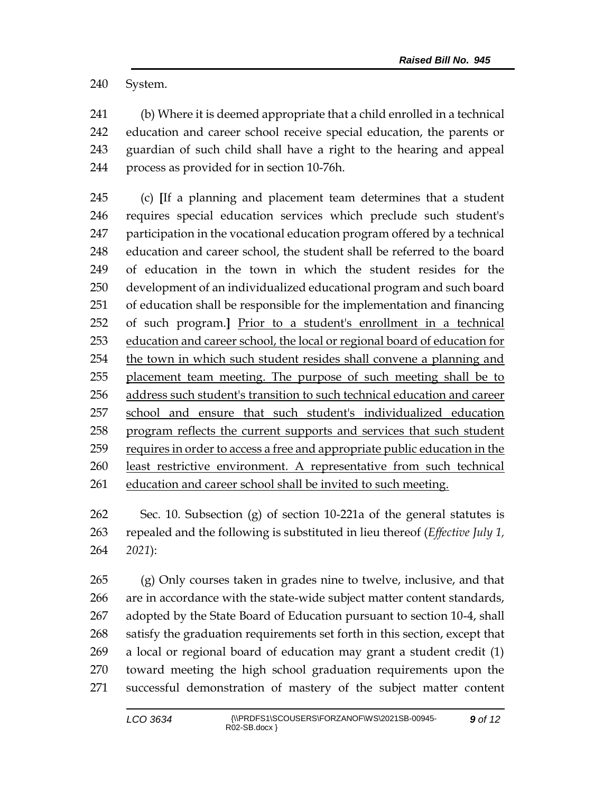System.

 (b) Where it is deemed appropriate that a child enrolled in a technical education and career school receive special education, the parents or guardian of such child shall have a right to the hearing and appeal process as provided for in section 10-76h.

 (c) **[**If a planning and placement team determines that a student requires special education services which preclude such student's participation in the vocational education program offered by a technical education and career school, the student shall be referred to the board of education in the town in which the student resides for the development of an individualized educational program and such board of education shall be responsible for the implementation and financing of such program.**]** Prior to a student's enrollment in a technical education and career school, the local or regional board of education for the town in which such student resides shall convene a planning and placement team meeting. The purpose of such meeting shall be to address such student's transition to such technical education and career school and ensure that such student's individualized education program reflects the current supports and services that such student 259 requires in order to access a free and appropriate public education in the least restrictive environment. A representative from such technical education and career school shall be invited to such meeting.

 Sec. 10. Subsection (g) of section 10-221a of the general statutes is repealed and the following is substituted in lieu thereof (*Effective July 1, 2021*):

 (g) Only courses taken in grades nine to twelve, inclusive, and that are in accordance with the state-wide subject matter content standards, adopted by the State Board of Education pursuant to section 10-4, shall satisfy the graduation requirements set forth in this section, except that a local or regional board of education may grant a student credit (1) toward meeting the high school graduation requirements upon the successful demonstration of mastery of the subject matter content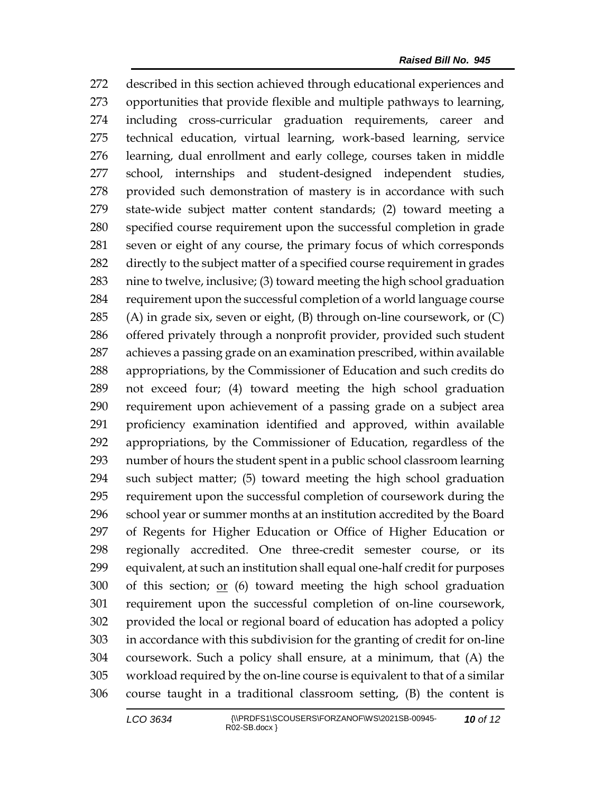described in this section achieved through educational experiences and opportunities that provide flexible and multiple pathways to learning, including cross-curricular graduation requirements, career and technical education, virtual learning, work-based learning, service learning, dual enrollment and early college, courses taken in middle school, internships and student-designed independent studies, provided such demonstration of mastery is in accordance with such state-wide subject matter content standards; (2) toward meeting a specified course requirement upon the successful completion in grade seven or eight of any course, the primary focus of which corresponds directly to the subject matter of a specified course requirement in grades nine to twelve, inclusive; (3) toward meeting the high school graduation requirement upon the successful completion of a world language course (A) in grade six, seven or eight, (B) through on-line coursework, or (C) offered privately through a nonprofit provider, provided such student achieves a passing grade on an examination prescribed, within available appropriations, by the Commissioner of Education and such credits do not exceed four; (4) toward meeting the high school graduation requirement upon achievement of a passing grade on a subject area proficiency examination identified and approved, within available appropriations, by the Commissioner of Education, regardless of the number of hours the student spent in a public school classroom learning such subject matter; (5) toward meeting the high school graduation requirement upon the successful completion of coursework during the school year or summer months at an institution accredited by the Board of Regents for Higher Education or Office of Higher Education or regionally accredited. One three-credit semester course, or its equivalent, at such an institution shall equal one-half credit for purposes of this section; or (6) toward meeting the high school graduation requirement upon the successful completion of on-line coursework, provided the local or regional board of education has adopted a policy in accordance with this subdivision for the granting of credit for on-line coursework. Such a policy shall ensure, at a minimum, that (A) the workload required by the on-line course is equivalent to that of a similar course taught in a traditional classroom setting, (B) the content is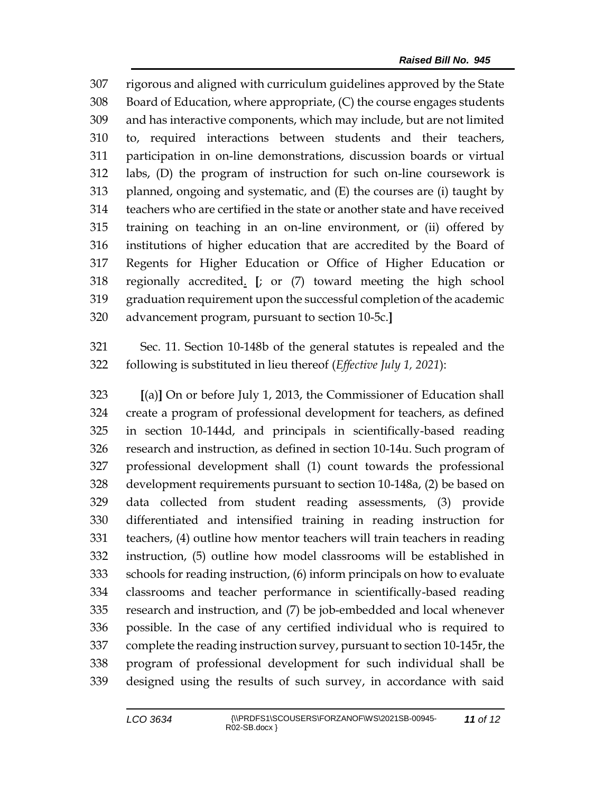rigorous and aligned with curriculum guidelines approved by the State Board of Education, where appropriate, (C) the course engages students and has interactive components, which may include, but are not limited to, required interactions between students and their teachers, participation in on-line demonstrations, discussion boards or virtual labs, (D) the program of instruction for such on-line coursework is planned, ongoing and systematic, and (E) the courses are (i) taught by teachers who are certified in the state or another state and have received training on teaching in an on-line environment, or (ii) offered by institutions of higher education that are accredited by the Board of Regents for Higher Education or Office of Higher Education or regionally accredited. **[**; or (7) toward meeting the high school graduation requirement upon the successful completion of the academic advancement program, pursuant to section 10-5c.**]**

 Sec. 11. Section 10-148b of the general statutes is repealed and the following is substituted in lieu thereof (*Effective July 1, 2021*):

 **[**(a)**]** On or before July 1, 2013, the Commissioner of Education shall create a program of professional development for teachers, as defined in section 10-144d, and principals in scientifically-based reading research and instruction, as defined in section 10-14u. Such program of professional development shall (1) count towards the professional development requirements pursuant to section 10-148a, (2) be based on data collected from student reading assessments, (3) provide differentiated and intensified training in reading instruction for teachers, (4) outline how mentor teachers will train teachers in reading instruction, (5) outline how model classrooms will be established in schools for reading instruction, (6) inform principals on how to evaluate classrooms and teacher performance in scientifically-based reading research and instruction, and (7) be job-embedded and local whenever possible. In the case of any certified individual who is required to complete the reading instruction survey, pursuant to section 10-145r, the program of professional development for such individual shall be designed using the results of such survey, in accordance with said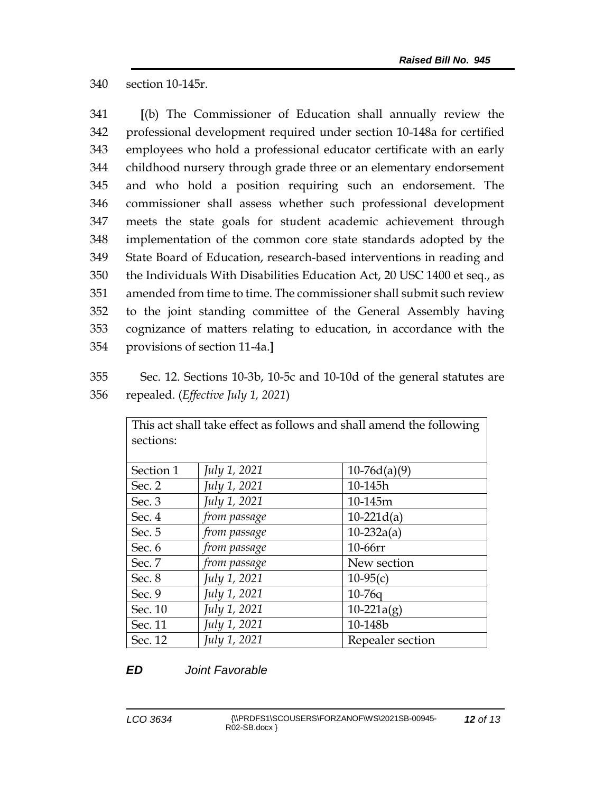340 section 10-145r.

 **[**(b) The Commissioner of Education shall annually review the professional development required under section 10-148a for certified employees who hold a professional educator certificate with an early childhood nursery through grade three or an elementary endorsement and who hold a position requiring such an endorsement. The commissioner shall assess whether such professional development meets the state goals for student academic achievement through implementation of the common core state standards adopted by the State Board of Education, research-based interventions in reading and the Individuals With Disabilities Education Act, 20 USC 1400 et seq., as amended from time to time. The commissioner shall submit such review to the joint standing committee of the General Assembly having cognizance of matters relating to education, in accordance with the provisions of section 11-4a.**]**

355 Sec. 12. Sections 10-3b, 10-5c and 10-10d of the general statutes are 356 repealed. (*Effective July 1, 2021*)

| This act shall take effect as follows and shall amend the following<br>sections: |              |                  |
|----------------------------------------------------------------------------------|--------------|------------------|
| Section 1                                                                        | July 1, 2021 | $10-76d(a)(9)$   |
| Sec. 2                                                                           | July 1, 2021 | 10-145h          |
| Sec. 3                                                                           | July 1, 2021 | 10-145m          |
| Sec. 4                                                                           | from passage | $10-221d(a)$     |
| Sec. 5                                                                           | from passage | $10-232a(a)$     |
| Sec. 6                                                                           | from passage | 10-66rr          |
| Sec. 7                                                                           | from passage | New section      |
| Sec. 8                                                                           | July 1, 2021 | $10-95(c)$       |
| Sec. 9                                                                           | July 1, 2021 | $10-76q$         |
| Sec. 10                                                                          | July 1, 2021 | $10-221a(g)$     |
| Sec. 11                                                                          | July 1, 2021 | 10-148b          |
| Sec. 12                                                                          | July 1, 2021 | Repealer section |

## *ED Joint Favorable*